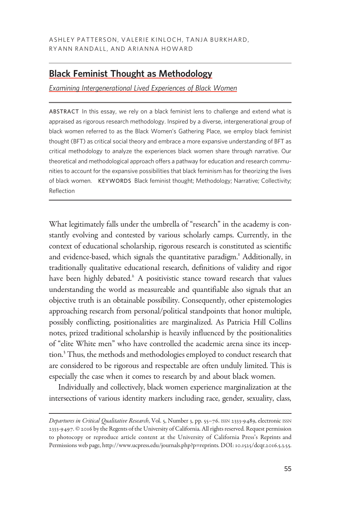# Black Feminist Thought as Methodology

Examining Intergenerational Lived Experiences of Black Women

ABSTRACT In this essay, we rely on a black feminist lens to challenge and extend what is appraised as rigorous research methodology. Inspired by a diverse, intergenerational group of black women referred to as the Black Women's Gathering Place, we employ black feminist thought (BFT) as critical social theory and embrace a more expansive understanding of BFT as critical methodology to analyze the experiences black women share through narrative. Our theoretical and methodological approach offers a pathway for education and research communities to account for the expansive possibilities that black feminism has for theorizing the lives of black women. KEYWORDS Black feminist thought; Methodology; Narrative; Collectivity; Reflection

What legitimately falls under the umbrella of "research" in the academy is constantly evolving and contested by various scholarly camps. Currently, in the context of educational scholarship, rigorous research is constituted as scientific and evidence-based, which signals the quantitative paradigm.<sup>1</sup> Additionally, in traditionally qualitative educational research, definitions of validity and rigor have been highly debated.<sup>2</sup> A positivistic stance toward research that values understanding the world as measureable and quantifiable also signals that an objective truth is an obtainable possibility. Consequently, other epistemologies approaching research from personal/political standpoints that honor multiple, possibly conflicting, positionalities are marginalized. As Patricia Hill Collins notes, prized traditional scholarship is heavily influenced by the positionalities of "elite White men" who have controlled the academic arena since its inception. Thus, the methods and methodologies employed to conduct research that are considered to be rigorous and respectable are often unduly limited. This is especially the case when it comes to research by and about black women.

Individually and collectively, black women experience marginalization at the intersections of various identity markers including race, gender, sexuality, class,

Departures in Critical Qualitative Research, Vol. 5, Number 3, pp. 55-76. ISSN 2333-9489, electronic ISSN 2333-9497. © 2016 by the Regents of the University of California. All rights reserved. Request permission to photocopy or reproduce article content at the University of California Press's Reprints and Permissions web page, [http://www.ucpress.edu/journals.php?p=reprints.](http://www.ucpress.edu/journals.php?p=reprints) DOI: 10.1525/dcqr.2016.5.3.55.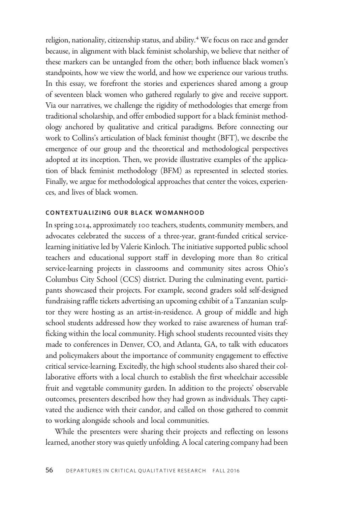religion, nationality, citizenship status, and ability.<sup>4</sup> We focus on race and gender because, in alignment with black feminist scholarship, we believe that neither of these markers can be untangled from the other; both influence black women's standpoints, how we view the world, and how we experience our various truths. In this essay, we forefront the stories and experiences shared among a group of seventeen black women who gathered regularly to give and receive support. Via our narratives, we challenge the rigidity of methodologies that emerge from traditional scholarship, and offer embodied support for a black feminist methodology anchored by qualitative and critical paradigms. Before connecting our work to Collins's articulation of black feminist thought (BFT), we describe the emergence of our group and the theoretical and methodological perspectives adopted at its inception. Then, we provide illustrative examples of the application of black feminist methodology (BFM) as represented in selected stories. Finally, we argue for methodological approaches that center the voices, experiences, and lives of black women.

#### CONTEXTUALIZING OUR BLACK WOMANHOOD

In spring 2014, approximately 100 teachers, students, community members, and advocates celebrated the success of a three-year, grant-funded critical servicelearning initiative led by Valerie Kinloch. The initiative supported public school teachers and educational support staff in developing more than 80 critical service-learning projects in classrooms and community sites across Ohio's Columbus City School (CCS) district. During the culminating event, participants showcased their projects. For example, second graders sold self-designed fundraising raffle tickets advertising an upcoming exhibit of a Tanzanian sculptor they were hosting as an artist-in-residence. A group of middle and high school students addressed how they worked to raise awareness of human trafficking within the local community. High school students recounted visits they made to conferences in Denver, CO, and Atlanta, GA, to talk with educators and policymakers about the importance of community engagement to effective critical service-learning. Excitedly, the high school students also shared their collaborative efforts with a local church to establish the first wheelchair accessible fruit and vegetable community garden. In addition to the projects' observable outcomes, presenters described how they had grown as individuals. They captivated the audience with their candor, and called on those gathered to commit to working alongside schools and local communities.

While the presenters were sharing their projects and reflecting on lessons learned, another story was quietly unfolding. A local catering company had been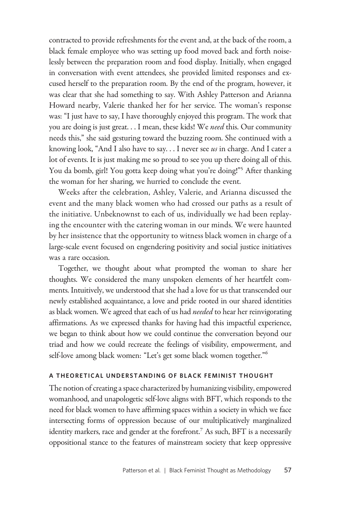contracted to provide refreshments for the event and, at the back of the room, a black female employee who was setting up food moved back and forth noiselessly between the preparation room and food display. Initially, when engaged in conversation with event attendees, she provided limited responses and excused herself to the preparation room. By the end of the program, however, it was clear that she had something to say. With Ashley Patterson and Arianna Howard nearby, Valerie thanked her for her service. The woman's response was: "I just have to say, I have thoroughly enjoyed this program. The work that you are doing is just great. . . I mean, these kids! We need this. Our community needs this," she said gesturing toward the buzzing room. She continued with a knowing look, "And I also have to say... I never see  $us$  in charge. And I cater a lot of events. It is just making me so proud to see you up there doing all of this. You da bomb, girl! You gotta keep doing what you're doing!" After thanking the woman for her sharing, we hurried to conclude the event.

Weeks after the celebration, Ashley, Valerie, and Arianna discussed the event and the many black women who had crossed our paths as a result of the initiative. Unbeknownst to each of us, individually we had been replaying the encounter with the catering woman in our minds. We were haunted by her insistence that the opportunity to witness black women in charge of a large-scale event focused on engendering positivity and social justice initiatives was a rare occasion.

Together, we thought about what prompted the woman to share her thoughts. We considered the many unspoken elements of her heartfelt comments. Intuitively, we understood that she had a love for us that transcended our newly established acquaintance, a love and pride rooted in our shared identities as black women. We agreed that each of us had *needed* to hear her reinvigorating affirmations. As we expressed thanks for having had this impactful experience, we began to think about how we could continue the conversation beyond our triad and how we could recreate the feelings of visibility, empowerment, and self-love among black women: "Let's get some black women together."

## A THEORETICAL UNDERSTANDING OF BLACK FEMINIST THOUGHT

The notion of creating a space characterized by humanizing visibility, empowered womanhood, and unapologetic self-love aligns with BFT, which responds to the need for black women to have affirming spaces within a society in which we face intersecting forms of oppression because of our multiplicatively marginalized identity markers, race and gender at the forefront.<sup>7</sup> As such, BFT is a necessarily oppositional stance to the features of mainstream society that keep oppressive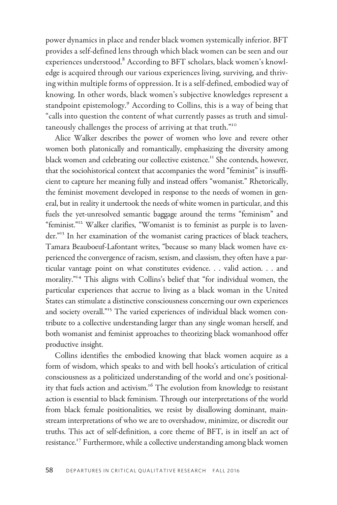power dynamics in place and render black women systemically inferior. BFT provides a self-defined lens through which black women can be seen and our experiences understood.<sup>8</sup> According to BFT scholars, black women's knowledge is acquired through our various experiences living, surviving, and thriving within multiple forms of oppression. It is a self-defined, embodied way of knowing. In other words, black women's subjective knowledges represent a standpoint epistemology.<sup>9</sup> According to Collins, this is a way of being that "calls into question the content of what currently passes as truth and simultaneously challenges the process of arriving at that truth."

Alice Walker describes the power of women who love and revere other women both platonically and romantically, emphasizing the diversity among black women and celebrating our collective existence.<sup>11</sup> She contends, however, that the sociohistorical context that accompanies the word "feminist" is insufficient to capture her meaning fully and instead offers "womanist." Rhetorically, the feminist movement developed in response to the needs of women in general, but in reality it undertook the needs of white women in particular, and this fuels the yet-unresolved semantic baggage around the terms "feminism" and "feminist."<sup>12</sup> Walker clarifies, "Womanist is to feminist as purple is to lavender." In her examination of the womanist caring practices of black teachers, Tamara Beauboeuf-Lafontant writes, "because so many black women have experienced the convergence of racism, sexism, and classism, they often have a particular vantage point on what constitutes evidence. . . valid action. . . and morality." This aligns with Collins's belief that "for individual women, the particular experiences that accrue to living as a black woman in the United States can stimulate a distinctive consciousness concerning our own experiences and society overall."<sup>15</sup> The varied experiences of individual black women contribute to a collective understanding larger than any single woman herself, and both womanist and feminist approaches to theorizing black womanhood offer productive insight.

Collins identifies the embodied knowing that black women acquire as a form of wisdom, which speaks to and with bell hooks's articulation of critical consciousness as a politicized understanding of the world and one's positionality that fuels action and activism.<sup>16</sup> The evolution from knowledge to resistant action is essential to black feminism. Through our interpretations of the world from black female positionalities, we resist by disallowing dominant, mainstream interpretations of who we are to overshadow, minimize, or discredit our truths. This act of self-definition, a core theme of BFT, is in itself an act of resistance.<sup>17</sup> Furthermore, while a collective understanding among black women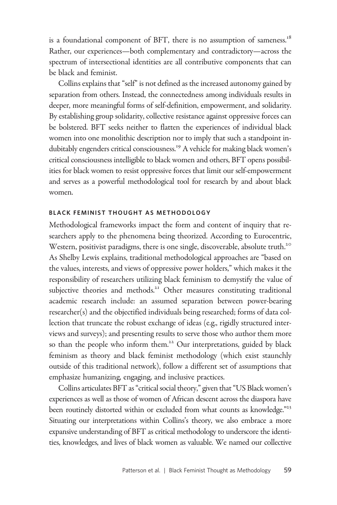is a foundational component of BFT, there is no assumption of sameness.<sup>18</sup> Rather, our experiences—both complementary and contradictory—across the spectrum of intersectional identities are all contributive components that can be black and feminist.

Collins explains that "self" is not defined as the increased autonomy gained by separation from others. Instead, the connectedness among individuals results in deeper, more meaningful forms of self-definition, empowerment, and solidarity. By establishing group solidarity, collective resistance against oppressive forces can be bolstered. BFT seeks neither to flatten the experiences of individual black women into one monolithic description nor to imply that such a standpoint indubitably engenders critical consciousness.<sup>19</sup> A vehicle for making black women's critical consciousness intelligible to black women and others, BFT opens possibilities for black women to resist oppressive forces that limit our self-empowerment and serves as a powerful methodological tool for research by and about black women.

#### BLACK FEMINIST THOUGHT AS METHODOLOGY

Methodological frameworks impact the form and content of inquiry that researchers apply to the phenomena being theorized. According to Eurocentric, Western, positivist paradigms, there is one single, discoverable, absolute truth.<sup>20</sup> As Shelby Lewis explains, traditional methodological approaches are "based on the values, interests, and views of oppressive power holders," which makes it the responsibility of researchers utilizing black feminism to demystify the value of subjective theories and methods.<sup>21</sup> Other measures constituting traditional academic research include: an assumed separation between power-bearing researcher(s) and the objectified individuals being researched; forms of data collection that truncate the robust exchange of ideas (e.g., rigidly structured interviews and surveys); and presenting results to serve those who author them more so than the people who inform them.<sup>22</sup> Our interpretations, guided by black feminism as theory and black feminist methodology (which exist staunchly outside of this traditional network), follow a different set of assumptions that emphasize humanizing, engaging, and inclusive practices.

Collins articulates BFT as"critical social theory," given that"US Black women's experiences as well as those of women of African descent across the diaspora have been routinely distorted within or excluded from what counts as knowledge."<sup>23</sup> Situating our interpretations within Collins's theory, we also embrace a more expansive understanding of BFT as critical methodology to underscore the identities, knowledges, and lives of black women as valuable. We named our collective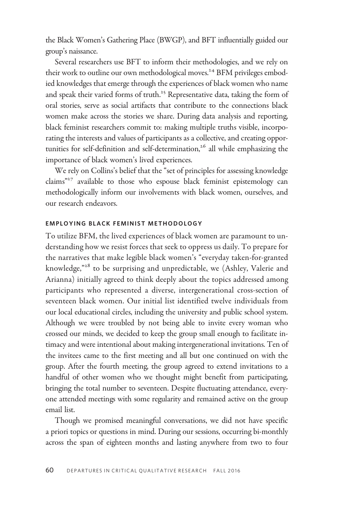the Black Women's Gathering Place (BWGP), and BFT influentially guided our group's naissance.

Several researchers use BFT to inform their methodologies, and we rely on their work to outline our own methodological moves.<sup>24</sup> BFM privileges embodied knowledges that emerge through the experiences of black women who name and speak their varied forms of truth.<sup>25</sup> Representative data, taking the form of oral stories, serve as social artifacts that contribute to the connections black women make across the stories we share. During data analysis and reporting, black feminist researchers commit to: making multiple truths visible, incorporating the interests and values of participants as a collective, and creating opportunities for self-definition and self-determination, $26$  all while emphasizing the importance of black women's lived experiences.

We rely on Collins's belief that the "set of principles for assessing knowledge claims" available to those who espouse black feminist epistemology can methodologically inform our involvements with black women, ourselves, and our research endeavors.

#### EMPLOYING BLACK FEMINIST METHODOLOGY

To utilize BFM, the lived experiences of black women are paramount to understanding how we resist forces that seek to oppress us daily. To prepare for the narratives that make legible black women's "everyday taken-for-granted knowledge,"<sup>28</sup> to be surprising and unpredictable, we (Ashley, Valerie and Arianna) initially agreed to think deeply about the topics addressed among participants who represented a diverse, intergenerational cross-section of seventeen black women. Our initial list identified twelve individuals from our local educational circles, including the university and public school system. Although we were troubled by not being able to invite every woman who crossed our minds, we decided to keep the group small enough to facilitate intimacy and were intentional about making intergenerational invitations. Ten of the invitees came to the first meeting and all but one continued on with the group. After the fourth meeting, the group agreed to extend invitations to a handful of other women who we thought might benefit from participating, bringing the total number to seventeen. Despite fluctuating attendance, everyone attended meetings with some regularity and remained active on the group email list.

Though we promised meaningful conversations, we did not have specific a priori topics or questions in mind. During our sessions, occurring bi-monthly across the span of eighteen months and lasting anywhere from two to four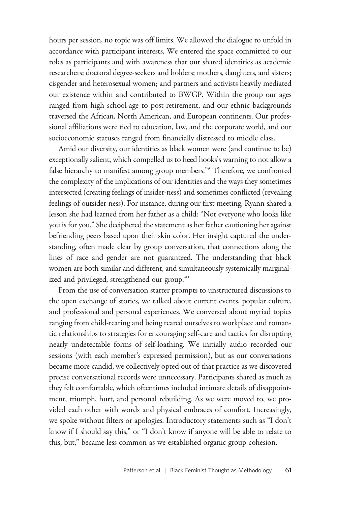hours per session, no topic was off limits. We allowed the dialogue to unfold in accordance with participant interests. We entered the space committed to our roles as participants and with awareness that our shared identities as academic researchers; doctoral degree-seekers and holders; mothers, daughters, and sisters; cisgender and heterosexual women; and partners and activists heavily mediated our existence within and contributed to BWGP. Within the group our ages ranged from high school-age to post-retirement, and our ethnic backgrounds traversed the African, North American, and European continents. Our professional affiliations were tied to education, law, and the corporate world, and our socioeconomic statuses ranged from financially distressed to middle class.

Amid our diversity, our identities as black women were (and continue to be) exceptionally salient, which compelled us to heed hooks's warning to not allow a false hierarchy to manifest among group members.<sup>29</sup> Therefore, we confronted the complexity of the implications of our identities and the ways they sometimes intersected (creating feelings of insider-ness) and sometimes conflicted (revealing feelings of outsider-ness). For instance, during our first meeting, Ryann shared a lesson she had learned from her father as a child: "Not everyone who looks like you is for you." She deciphered the statement as her father cautioning her against befriending peers based upon their skin color. Her insight captured the understanding, often made clear by group conversation, that connections along the lines of race and gender are not guaranteed. The understanding that black women are both similar and different, and simultaneously systemically marginalized and privileged, strengthened our group.<sup>30</sup>

From the use of conversation starter prompts to unstructured discussions to the open exchange of stories, we talked about current events, popular culture, and professional and personal experiences. We conversed about myriad topics ranging from child-rearing and being reared ourselves to workplace and romantic relationships to strategies for encouraging self-care and tactics for disrupting nearly undetectable forms of self-loathing. We initially audio recorded our sessions (with each member's expressed permission), but as our conversations became more candid, we collectively opted out of that practice as we discovered precise conversational records were unnecessary. Participants shared as much as they felt comfortable, which oftentimes included intimate details of disappointment, triumph, hurt, and personal rebuilding. As we were moved to, we provided each other with words and physical embraces of comfort. Increasingly, we spoke without filters or apologies. Introductory statements such as "I don't know if I should say this," or "I don't know if anyone will be able to relate to this, but," became less common as we established organic group cohesion.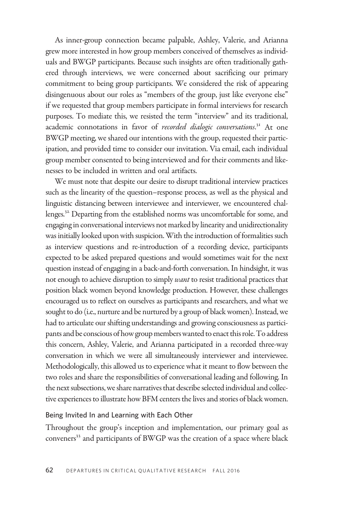As inner-group connection became palpable, Ashley, Valerie, and Arianna grew more interested in how group members conceived of themselves as individuals and BWGP participants. Because such insights are often traditionally gathered through interviews, we were concerned about sacrificing our primary commitment to being group participants. We considered the risk of appearing disingenuous about our roles as "members of the group, just like everyone else" if we requested that group members participate in formal interviews for research purposes. To mediate this, we resisted the term "interview" and its traditional, academic connotations in favor of recorded dialogic conversations.<sup>31</sup> At one BWGP meeting, we shared our intentions with the group, requested their participation, and provided time to consider our invitation. Via email, each individual group member consented to being interviewed and for their comments and likenesses to be included in written and oral artifacts.

We must note that despite our desire to disrupt traditional interview practices such as the linearity of the question–response process, as well as the physical and linguistic distancing between interviewee and interviewer, we encountered challenges.<sup>32</sup> Departing from the established norms was uncomfortable for some, and engaging in conversational interviews not marked by linearity and unidirectionality was initially looked upon with suspicion.With the introduction of formalities such as interview questions and re-introduction of a recording device, participants expected to be asked prepared questions and would sometimes wait for the next question instead of engaging in a back-and-forth conversation. In hindsight, it was not enough to achieve disruption to simply want to resist traditional practices that position black women beyond knowledge production. However, these challenges encouraged us to reflect on ourselves as participants and researchers, and what we sought to do (i.e., nurture and be nurtured by a group of black women). Instead, we had to articulate our shifting understandings and growing consciousness as participants and be conscious of how group members wanted to enact this role. To address this concern, Ashley, Valerie, and Arianna participated in a recorded three-way conversation in which we were all simultaneously interviewer and interviewee. Methodologically, this allowed us to experience what it meant to flow between the two roles and share the responsibilities of conversational leading and following. In the next subsections, we share narratives that describe selected individual and collective experiences to illustrate how BFM centers the lives and stories of black women.

### Being Invited In and Learning with Each Other

Throughout the group's inception and implementation, our primary goal as conveners<sup>33</sup> and participants of BWGP was the creation of a space where black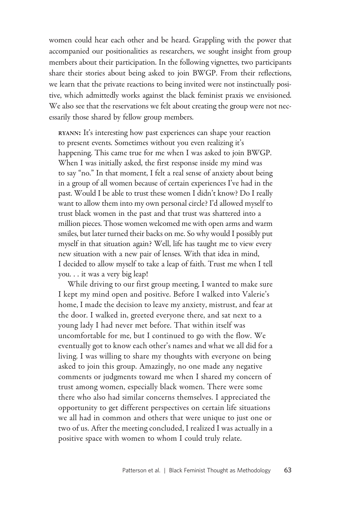women could hear each other and be heard. Grappling with the power that accompanied our positionalities as researchers, we sought insight from group members about their participation. In the following vignettes, two participants share their stories about being asked to join BWGP. From their reflections, we learn that the private reactions to being invited were not instinctually positive, which admittedly works against the black feminist praxis we envisioned. We also see that the reservations we felt about creating the group were not necessarily those shared by fellow group members.

RYANN: It's interesting how past experiences can shape your reaction to present events. Sometimes without you even realizing it's happening. This came true for me when I was asked to join BWGP. When I was initially asked, the first response inside my mind was to say "no." In that moment, I felt a real sense of anxiety about being in a group of all women because of certain experiences I've had in the past. Would I be able to trust these women I didn't know? Do I really want to allow them into my own personal circle? I'd allowed myself to trust black women in the past and that trust was shattered into a million pieces. Those women welcomed me with open arms and warm smiles, but later turned their backs on me. So why would I possibly put myself in that situation again? Well, life has taught me to view every new situation with a new pair of lenses. With that idea in mind, I decided to allow myself to take a leap of faith. Trust me when I tell you. . . it was a very big leap!

While driving to our first group meeting, I wanted to make sure I kept my mind open and positive. Before I walked into Valerie's home, I made the decision to leave my anxiety, mistrust, and fear at the door. I walked in, greeted everyone there, and sat next to a young lady I had never met before. That within itself was uncomfortable for me, but I continued to go with the flow. We eventually got to know each other's names and what we all did for a living. I was willing to share my thoughts with everyone on being asked to join this group. Amazingly, no one made any negative comments or judgments toward me when I shared my concern of trust among women, especially black women. There were some there who also had similar concerns themselves. I appreciated the opportunity to get different perspectives on certain life situations we all had in common and others that were unique to just one or two of us. After the meeting concluded, I realized I was actually in a positive space with women to whom I could truly relate.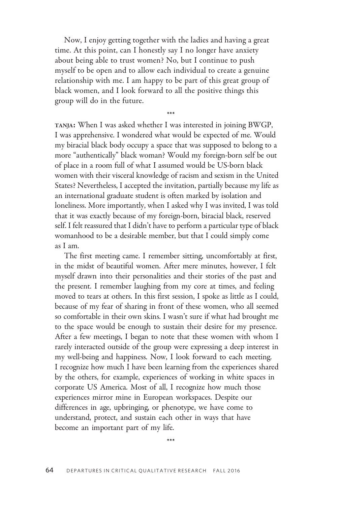Now, I enjoy getting together with the ladies and having a great time. At this point, can I honestly say I no longer have anxiety about being able to trust women? No, but I continue to push myself to be open and to allow each individual to create a genuine relationship with me. I am happy to be part of this great group of black women, and I look forward to all the positive things this group will do in the future.

\*\*\*

TANJA: When I was asked whether I was interested in joining BWGP, I was apprehensive. I wondered what would be expected of me. Would my biracial black body occupy a space that was supposed to belong to a more "authentically" black woman? Would my foreign-born self be out of place in a room full of what I assumed would be US-born black women with their visceral knowledge of racism and sexism in the United States? Nevertheless, I accepted the invitation, partially because my life as an international graduate student is often marked by isolation and loneliness. More importantly, when I asked why I was invited, I was told that it was exactly because of my foreign-born, biracial black, reserved self. I felt reassured that I didn't have to perform a particular type of black womanhood to be a desirable member, but that I could simply come as I am.

The first meeting came. I remember sitting, uncomfortably at first, in the midst of beautiful women. After mere minutes, however, I felt myself drawn into their personalities and their stories of the past and the present. I remember laughing from my core at times, and feeling moved to tears at others. In this first session, I spoke as little as I could, because of my fear of sharing in front of these women, who all seemed so comfortable in their own skins. I wasn't sure if what had brought me to the space would be enough to sustain their desire for my presence. After a few meetings, I began to note that these women with whom I rarely interacted outside of the group were expressing a deep interest in my well-being and happiness. Now, I look forward to each meeting. I recognize how much I have been learning from the experiences shared by the others, for example, experiences of working in white spaces in corporate US America. Most of all, I recognize how much those experiences mirror mine in European workspaces. Despite our differences in age, upbringing, or phenotype, we have come to understand, protect, and sustain each other in ways that have become an important part of my life.

\*\*\*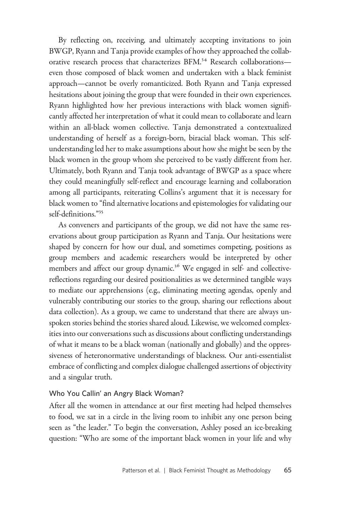By reflecting on, receiving, and ultimately accepting invitations to join BWGP, Ryann and Tanja provide examples of how they approached the collaborative research process that characterizes BFM.<sup>34</sup> Research collaborationseven those composed of black women and undertaken with a black feminist approach—cannot be overly romanticized. Both Ryann and Tanja expressed hesitations about joining the group that were founded in their own experiences. Ryann highlighted how her previous interactions with black women significantly affected her interpretation of what it could mean to collaborate and learn within an all-black women collective. Tanja demonstrated a contextualized understanding of herself as a foreign-born, biracial black woman. This selfunderstanding led her to make assumptions about how she might be seen by the black women in the group whom she perceived to be vastly different from her. Ultimately, both Ryann and Tanja took advantage of BWGP as a space where they could meaningfully self-reflect and encourage learning and collaboration among all participants, reiterating Collins's argument that it is necessary for black women to "find alternative locations and epistemologies for validating our self-definitions."

As conveners and participants of the group, we did not have the same reservations about group participation as Ryann and Tanja. Our hesitations were shaped by concern for how our dual, and sometimes competing, positions as group members and academic researchers would be interpreted by other members and affect our group dynamic.<sup>36</sup> We engaged in self- and collectivereflections regarding our desired positionalities as we determined tangible ways to mediate our apprehensions (e.g., eliminating meeting agendas, openly and vulnerably contributing our stories to the group, sharing our reflections about data collection). As a group, we came to understand that there are always unspoken stories behind the stories shared aloud. Likewise, we welcomed complexities into our conversations such as discussions about conflicting understandings of what it means to be a black woman (nationally and globally) and the oppressiveness of heteronormative understandings of blackness. Our anti-essentialist embrace of conflicting and complex dialogue challenged assertions of objectivity and a singular truth.

### Who You Callin' an Angry Black Woman?

After all the women in attendance at our first meeting had helped themselves to food, we sat in a circle in the living room to inhibit any one person being seen as "the leader." To begin the conversation, Ashley posed an ice-breaking question: "Who are some of the important black women in your life and why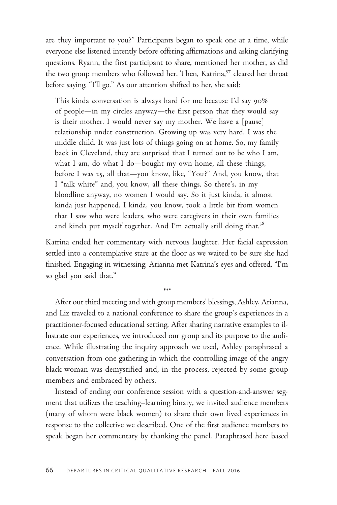are they important to you?" Participants began to speak one at a time, while everyone else listened intently before offering affirmations and asking clarifying questions. Ryann, the first participant to share, mentioned her mother, as did the two group members who followed her. Then, Katrina,<sup>37</sup> cleared her throat before saying, "I'll go." As our attention shifted to her, she said:

This kinda conversation is always hard for me because I'd say  $90\%$ of people—in my circles anyway—the first person that they would say is their mother. I would never say my mother. We have a [pause] relationship under construction. Growing up was very hard. I was the middle child. It was just lots of things going on at home. So, my family back in Cleveland, they are surprised that I turned out to be who I am, what I am, do what I do—bought my own home, all these things, before I was 25, all that—you know, like, "You?" And, you know, that I "talk white" and, you know, all these things. So there's, in my bloodline anyway, no women I would say. So it just kinda, it almost kinda just happened. I kinda, you know, took a little bit from women that I saw who were leaders, who were caregivers in their own families and kinda put myself together. And I'm actually still doing that.<sup>38</sup>

Katrina ended her commentary with nervous laughter. Her facial expression settled into a contemplative stare at the floor as we waited to be sure she had finished. Engaging in witnessing, Arianna met Katrina's eyes and offered, "I'm so glad you said that."

\*\*\*

After our third meeting and with group members' blessings, Ashley, Arianna, and Liz traveled to a national conference to share the group's experiences in a practitioner-focused educational setting. After sharing narrative examples to illustrate our experiences, we introduced our group and its purpose to the audience. While illustrating the inquiry approach we used, Ashley paraphrased a conversation from one gathering in which the controlling image of the angry black woman was demystified and, in the process, rejected by some group members and embraced by others.

Instead of ending our conference session with a question-and-answer segment that utilizes the teaching–learning binary, we invited audience members (many of whom were black women) to share their own lived experiences in response to the collective we described. One of the first audience members to speak began her commentary by thanking the panel. Paraphrased here based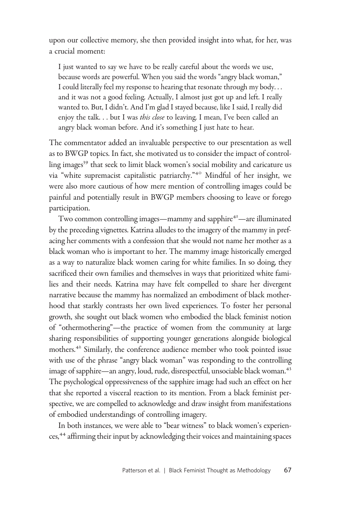upon our collective memory, she then provided insight into what, for her, was a crucial moment:

I just wanted to say we have to be really careful about the words we use, because words are powerful. When you said the words "angry black woman," I could literally feel my response to hearing that resonate through my body. . . and it was not a good feeling. Actually, I almost just got up and left. I really wanted to. But, I didn't. And I'm glad I stayed because, like I said, I really did enjoy the talk. . . but I was this close to leaving. I mean, I've been called an angry black woman before. And it's something I just hate to hear.

The commentator added an invaluable perspective to our presentation as well as to BWGP topics. In fact, she motivated us to consider the impact of controlling images<sup>39</sup> that seek to limit black women's social mobility and caricature us via "white supremacist capitalistic patriarchy." Mindful of her insight, we were also more cautious of how mere mention of controlling images could be painful and potentially result in BWGP members choosing to leave or forego participation.

Two common controlling images—mammy and sapphire<sup>41</sup>—are illuminated by the preceding vignettes. Katrina alludes to the imagery of the mammy in prefacing her comments with a confession that she would not name her mother as a black woman who is important to her. The mammy image historically emerged as a way to naturalize black women caring for white families. In so doing, they sacrificed their own families and themselves in ways that prioritized white families and their needs. Katrina may have felt compelled to share her divergent narrative because the mammy has normalized an embodiment of black motherhood that starkly contrasts her own lived experiences. To foster her personal growth, she sought out black women who embodied the black feminist notion of "othermothering"—the practice of women from the community at large sharing responsibilities of supporting younger generations alongside biological mothers.<sup>42</sup> Similarly, the conference audience member who took pointed issue with use of the phrase "angry black woman" was responding to the controlling image of sapphire—an angry, loud, rude, disrespectful, unsociable black woman.<sup>43</sup> The psychological oppressiveness of the sapphire image had such an effect on her that she reported a visceral reaction to its mention. From a black feminist perspective, we are compelled to acknowledge and draw insight from manifestations of embodied understandings of controlling imagery.

In both instances, we were able to "bear witness" to black women's experiences,<sup>44</sup> affirming their input by acknowledging their voices and maintaining spaces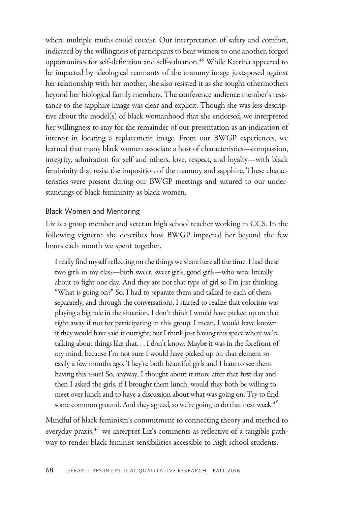where multiple truths could coexist. Our interpretation of safety and comfort, indicated by the willingness of participants to bear witness to one another, forged opportunities for self-definition and self-valuation.<sup>45</sup> While Katrina appeared to be impacted by ideological remnants of the mammy image juxtaposed against her relationship with her mother, she also resisted it as she sought othermothers beyond her biological family members. The conference audience member's resistance to the sapphire image was clear and explicit. Though she was less descriptive about the model(s) of black womanhood that she endorsed, we interpreted her willingness to stay for the remainder of our presentation as an indication of interest in locating a replacement image. From our BWGP experiences, we learned that many black women associate a host of characteristics—compassion, integrity, admiration for self and others, love, respect, and loyalty—with black femininity that resist the imposition of the mammy and sapphire. These characteristics were present during our BWGP meetings and sutured to our understandings of black femininity as black women.

### Black Women and Mentoring

Liz is a group member and veteran high school teacher working in CCS. In the following vignette, she describes how BWGP impacted her beyond the few hours each month we spent together.

I really find myself reflecting on the things we share here all the time. I had these two girls in my class—both sweet, sweet girls, good girls—who were literally about to fight one day. And they are not that type of girl so I'm just thinking, "What is going on?" So, I had to separate them and talked to each of them separately, and through the conversations, I started to realize that colorism was playing a big role in the situation. I don't think I would have picked up on that right away if not for participating in this group. I mean, I would have known if they would have said it outright, but I think just having this space where we're talking about things like that. . . I don't know. Maybe it was in the forefront of my mind, because I'm not sure I would have picked up on that element so easily a few months ago. They're both beautiful girls and I hate to see them having this issue! So, anyway, I thought about it more after that first day and then I asked the girls, if I brought them lunch, would they both be willing to meet over lunch and to have a discussion about what was going on. Try to find some common ground. And they agreed, so we're going to do that next week.<sup>46</sup>

Mindful of black feminism's commitment to connecting theory and method to everyday praxis, $47$  we interpret Liz's comments as reflective of a tangible pathway to render black feminist sensibilities accessible to high school students.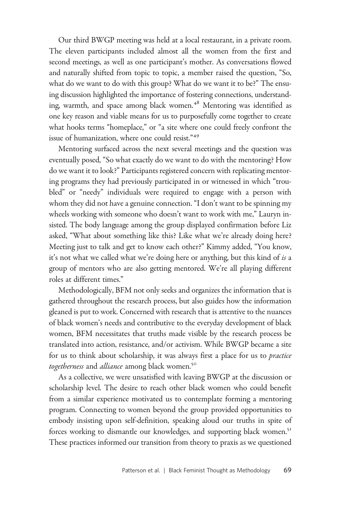Our third BWGP meeting was held at a local restaurant, in a private room. The eleven participants included almost all the women from the first and second meetings, as well as one participant's mother. As conversations flowed and naturally shifted from topic to topic, a member raised the question, "So, what do we want to do with this group? What do we want it to be?" The ensuing discussion highlighted the importance of fostering connections, understanding, warmth, and space among black women.<sup>48</sup> Mentoring was identified as one key reason and viable means for us to purposefully come together to create what hooks terms "homeplace," or "a site where one could freely confront the issue of humanization, where one could resist."<sup>49</sup>

Mentoring surfaced across the next several meetings and the question was eventually posed, "So what exactly do we want to do with the mentoring? How do we want it to look?" Participants registered concern with replicating mentoring programs they had previously participated in or witnessed in which "troubled" or "needy" individuals were required to engage with a person with whom they did not have a genuine connection. "I don't want to be spinning my wheels working with someone who doesn't want to work with me," Lauryn insisted. The body language among the group displayed confirmation before Liz asked, "What about something like this? Like what we're already doing here? Meeting just to talk and get to know each other?" Kimmy added, "You know, it's not what we called what we're doing here or anything, but this kind of is a group of mentors who are also getting mentored. We're all playing different roles at different times."

Methodologically, BFM not only seeks and organizes the information that is gathered throughout the research process, but also guides how the information gleaned is put to work. Concerned with research that is attentive to the nuances of black women's needs and contributive to the everyday development of black women, BFM necessitates that truths made visible by the research process be translated into action, resistance, and/or activism. While BWGP became a site for us to think about scholarship, it was always first a place for us to *practice* togetherness and alliance among black women.<sup>50</sup>

As a collective, we were unsatisfied with leaving BWGP at the discussion or scholarship level. The desire to reach other black women who could benefit from a similar experience motivated us to contemplate forming a mentoring program. Connecting to women beyond the group provided opportunities to embody insisting upon self-definition, speaking aloud our truths in spite of forces working to dismantle our knowledges, and supporting black women.<sup>51</sup> These practices informed our transition from theory to praxis as we questioned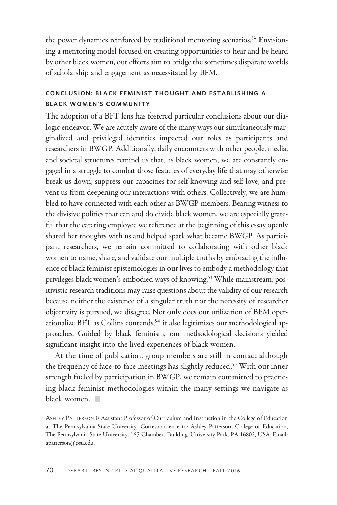the power dynamics reinforced by traditional mentoring scenarios.<sup>52</sup> Envisioning a mentoring model focused on creating opportunities to hear and be heard by other black women, our efforts aim to bridge the sometimes disparate worlds of scholarship and engagement as necessitated by BFM.

# CONCLUSION: BLACK FEMINIST THOUGHT AND ESTABLISHING A BLACK WOMEN'S COMMUNITY

The adoption of a BFT lens has fostered particular conclusions about our dialogic endeavor. We are acutely aware of the many ways our simultaneously marginalized and privileged identities impacted our roles as participants and researchers in BWGP. Additionally, daily encounters with other people, media, and societal structures remind us that, as black women, we are constantly engaged in a struggle to combat those features of everyday life that may otherwise break us down, suppress our capacities for self-knowing and self-love, and prevent us from deepening our interactions with others. Collectively, we are humbled to have connected with each other as BWGP members. Bearing witness to the divisive politics that can and do divide black women, we are especially grateful that the catering employee we reference at the beginning of this essay openly shared her thoughts with us and helped spark what became BWGP. As participant researchers, we remain committed to collaborating with other black women to name, share, and validate our multiple truths by embracing the influence of black feminist epistemologies in our lives to embody a methodology that privileges black women's embodied ways of knowing.<sup>53</sup> While mainstream, positivistic research traditions may raise questions about the validity of our research because neither the existence of a singular truth nor the necessity of researcher objectivity is pursued, we disagree. Not only does our utilization of BFM operationalize BFT as Collins contends,<sup>54</sup> it also legitimizes our methodological approaches. Guided by black feminism, our methodological decisions yielded significant insight into the lived experiences of black women.

At the time of publication, group members are still in contact although the frequency of face-to-face meetings has slightly reduced.<sup>55</sup> With our inner strength fueled by participation in BWGP, we remain committed to practicing black feminist methodologies within the many settings we navigate as black women.

ASHLEY PATTERSON is Assistant Professor of Curriculum and Instruction in the College of Education at The Pennsylvania State University. Correspondence to: Ashley Patterson, College of Education, The Pennsylvania State University, 165 Chambers Building, University Park, PA 16802, USA. Email: [apatterson@psu.edu.](mailto:apatterson@psu.edu)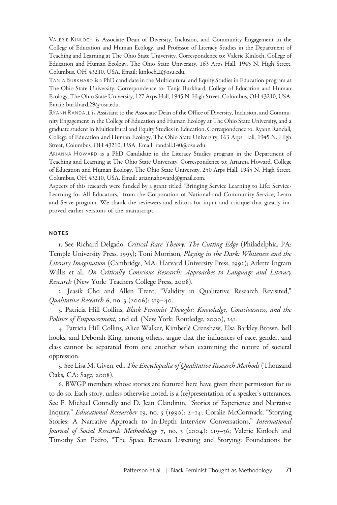VALERIE KINLOCH is Associate Dean of Diversity, Inclusion, and Community Engagement in the College of Education and Human Ecology, and Professor of Literacy Studies in the Department of Teaching and Learning at The Ohio State University. Correspondence to: Valerie Kinloch, College of Education and Human Ecology, The Ohio State University, 163 Arps Hall, 1945 N. High Street, Columbus, OH 43210, USA. Email: [kinloch.2@osu.edu](mailto:kinloch.2@osu.edu).

TANJA BURKHARD is a PhD candidate in the Multicultural and Equity Studies in Education program at The Ohio State University. Correspondence to: Tanja Burkhard, College of Education and Human Ecology, The Ohio State University, 127 Arps Hall, 1945 N. High Street, Columbus, OH 43210, USA. Email: [burkhard.29@osu.edu.](mailto:burkhard.29@osu.edu)

RYANN RANDALL is Assistant to the Associate Dean of the Office of Diversity, Inclusion, and Community Engagement in the College of Education and Human Ecology at The Ohio State University, and a graduate student in Multicultural and Equity Studies in Education. Correspondence to: Ryann Randall, College of Education and Human Ecology, The Ohio State University, 163 Arps Hall, 1945 N. High Street, Columbus, OH 43210, USA. Email: [randall.140@osu.edu](mailto:randall.140@osu.edu).

ARIANNA HOWARD is a PhD Candidate in the Literacy Studies program in the Department of Teaching and Learning at The Ohio State University. Correspondence to: Arianna Howard, College of Education and Human Ecology, The Ohio State University, 250 Arps Hall, 1945 N. High Street, Columbus, OH 43210, USA. Email: [ariannahoward@gmail.com.](mailto:ariannahoward@gmail.com)

Aspects of this research were funded by a grant titled "Bringing Service Learning to Life: Service-Learning for All Educators," from the Corporation of National and Community Service, Learn and Serve program. We thank the reviewers and editors for input and critique that greatly improved earlier versions of the manuscript.

#### NOTES

. See Richard Delgado, Critical Race Theory: The Cutting Edge (Philadelphia, PA: Temple University Press, 1995); Toni Morrison, Playing in the Dark: Whiteness and the Literary Imagination (Cambridge, MA: Harvard University Press, 1992); Arlette Ingram Willis et al., On Critically Conscious Research: Approaches to Language and Literacy Research (New York: Teachers College Press, 2008).

. Jeasik Cho and Allen Trent, "Validity in Qualitative Research Revisited," Qualitative Research 6, no.  $3$  (2006):  $319-40$ .

3. Patricia Hill Collins, Black Feminist Thought: Knowledge, Consciousness, and the Politics of Empowerment, 2nd ed. (New York: Routledge, 2000), 251.

. Patricia Hill Collins, Alice Walker, Kimberlé Crenshaw, Elsa Barkley Brown, bell hooks, and Deborah King, among others, argue that the influences of race, gender, and class cannot be separated from one another when examining the nature of societal oppression.

5. See Lisa M. Given, ed., The Encyclopedia of Qualitative Research Methods (Thousand Oaks, CA: Sage, 2008).

. BWGP members whose stories are featured here have given their permission for us to do so. Each story, unless otherwise noted, is a (re)presentation of a speaker's utterances. See F. Michael Connelly and D. Jean Clandinin, "Stories of Experience and Narrative Inquiry," Educational Researcher 19, no. 5 (1990): 2-14; Coralie McCormack, "Storying Stories: A Narrative Approach to In-Depth Interview Conversations," International Journal of Social Research Methodology 7, no. 3 (2004): 219-36; Valerie Kinloch and Timothy San Pedro, "The Space Between Listening and Storying: Foundations for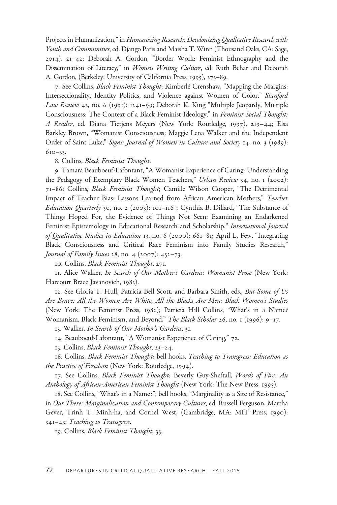Projects in Humanization," in Humanizing Research: Decolonizing Qualitative Research with Youth and Communities, ed. Django Paris and Maisha T. Winn (Thousand Oaks, CA: Sage, ), –; Deborah A. Gordon, "Border Work: Feminist Ethnography and the Dissemination of Literacy," in Women Writing Culture, ed. Ruth Behar and Deborah A. Gordon, (Berkeley: University of California Press, 1995), 373-89.

7. See Collins, *Black Feminist Thought*; Kimberlé Crenshaw, "Mapping the Margins: Intersectionality, Identity Politics, and Violence against Women of Color," Stanford Law Review 43, no. 6 (1991): 1241-99; Deborah K. King "Multiple Jeopardy, Multiple Consciousness: The Context of a Black Feminist Ideology," in Feminist Social Thought: A Reader, ed. Diana Tietjens Meyers (New York: Routledge, 1997), 219-44; Elsa Barkley Brown, "Womanist Consciousness: Maggie Lena Walker and the Independent Order of Saint Luke," Signs: Journal of Women in Culture and Society 14, no. 3 (1989):  $610 - 33.$ 

. Collins, Black Feminist Thought.

. Tamara Beauboeuf-Lafontant, "A Womanist Experience of Caring: Understanding the Pedagogy of Exemplary Black Women Teachers," Urban Review 34, no. 1 (2002): 71-86; Collins, *Black Feminist Thought*; Camille Wilson Cooper, "The Detrimental Impact of Teacher Bias: Lessons Learned from African American Mothers," Teacher *Education Quarterly* 30, no. 2 (2003):  $10I-116$ ; Cynthia B. Dillard, "The Substance of Things Hoped For, the Evidence of Things Not Seen: Examining an Endarkened Feminist Epistemology in Educational Research and Scholarship," International Journal of Qualitative Studies in Education 13, no. 6 (2000): 661-81; April L. Few, "Integrating Black Consciousness and Critical Race Feminism into Family Studies Research," *Journal of Family Issues* 28, no. 4 (2007): 452-73.

10. Collins, Black Feminist Thought, 271.

. Alice Walker, In Search of Our Mother's Gardens: Womanist Prose (New York: Harcourt Brace Javanovich, 1983).

12. See Gloria T. Hull, Patricia Bell Scott, and Barbara Smith, eds., But Some of Us Are Brave: All the Women Are White, All the Blacks Are Men: Black Women's Studies (New York: The Feminist Press, 1982); Patricia Hill Collins, "What's in a Name? Womanism, Black Feminism, and Beyond," The Black Scholar 26, no.  $1$  (1996): 9-17.

13. Walker, In Search of Our Mother's Gardens, 31.

14. Beauboeuf-Lafontant, "A Womanist Experience of Caring," 72.

15. Collins, Black Feminist Thought, 23-24.

16. Collins, Black Feminist Thought; bell hooks, Teaching to Transgress: Education as the Practice of Freedom (New York: Routledge, 1994).

17. See Collins, Black Feminist Thought; Beverly Guy-Sheftall, Words of Fire: An Anthology of African-American Feminist Thought (New York: The New Press, 1995).

. See Collins, "What's in a Name?"; bell hooks, "Marginality as a Site of Resistance," in Out There: Marginalization and Contemporary Cultures, ed. Russell Ferguson, Martha Gever, Trinh T. Minh-ha, and Cornel West, (Cambridge, MA: MIT Press, 1990): 341-43; Teaching to Transgress.

19. Collins, Black Feminist Thought, 35.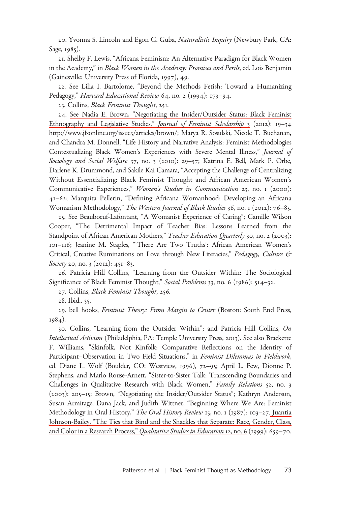20. Yvonna S. Lincoln and Egon G. Guba, *Naturalistic Inquiry* (Newbury Park, CA: Sage, 1985).

. Shelby F. Lewis, "Africana Feminism: An Alternative Paradigm for Black Women in the Academy," in Black Women in the Academy: Promises and Perils, ed. Lois Benjamin (Gainesville: University Press of Florida, 1997), 49.

. See Lilia I. Bartolome, "Beyond the Methods Fetish: Toward a Humanizing Pedagogy," Harvard Educational Review 64, no. 2 (1994): 173–94.

23. Collins, Black Feminist Thought, 251.

. See Nadia E. Brown, "Negotiating the Insider/Outsider Status: Black Feminist Ethnography and Legislative Studies," Journal of Feminist Scholarship  $3$  (2012): 19-34 [http://www.jfsonline.org/issue](http://www.jfsonline.org/issue3/articles/brown/)3/articles/brown/; Marya R. Sosulski, Nicole T. Buchanan, and Chandra M. Donnell, "Life History and Narrative Analysis: Feminist Methodologies Contextualizing Black Women's Experiences with Severe Mental Illness," Journal of Sociology and Social Welfare 37, no. 3 (2010): 29-57; Katrina E. Bell, Mark P. Orbe, Darlene K. Drummond, and Sakile Kai Camara, "Accepting the Challenge of Centralizing Without Essentializing: Black Feminist Thought and African American Women's Communicative Experiences," Women's Studies in Communication 23, no. 1 (2000): 41-62; Marquita Pellerin, "Defining Africana Womanhood: Developing an Africana Womanism Methodology," The Western Journal of Black Studies 36, no. 1 (2012): 76-85.

. See Beauboeuf-Lafontant, "A Womanist Experience of Caring"; Camille Wilson Cooper, "The Detrimental Impact of Teacher Bias: Lessons Learned from the Standpoint of African American Mothers," Teacher Education Quarterly 30, no. 2 (2003): –; Jeanine M. Staples, "'There Are Two Truths': African American Women's Critical, Creative Ruminations on Love through New Literacies," Pedagogy, Culture & Society 20, no. 3 (2012):  $45I-83$ .

. Patricia Hill Collins, "Learning from the Outsider Within: The Sociological Significance of Black Feminist Thought," Social Problems 33, no. 6 (1986): 514-32.

27. Collins, Black Feminist Thought, 256.

28. Ibid., 35.

29. bell hooks, Feminist Theory: From Margin to Center (Boston: South End Press,  $1984)$ .

30. Collins, "Learning from the Outsider Within"; and Patricia Hill Collins, On Intellectual Activism (Philadelphia, PA: Temple University Press, 2013). See also Brackette F. Williams, "Skinfolk, Not Kinfolk: Comparative Reflections on the Identity of Participant–Observation in Two Field Situations," in Feminist Dilemmas in Fieldwork, ed. Diane L. Wolf (Boulder, CO: Westview, 1996), 72-95; April L. Few, Dionne P. Stephens, and Marlo Rouse-Arnett, "Sister-to-Sister Talk: Transcending Boundaries and Challenges in Qualitative Research with Black Women," Family Relations 52, no. 3 (2003): 205-15; Brown, "Negotiating the Insider/Outsider Status"; Kathryn Anderson, Susan Armitage, Dana Jack, and Judith Wittner, "Beginning Where We Are: Feminist Methodology in Oral History," The Oral History Review 15, no. 1 (1987): 103-27. Juantia Johnson-Bailey, "The Ties that Bind and the Shackles that Separate: Race, Gender, Class, and Color in a Research Process," Qualitative Studies in Education 12, no. 6 (1999): 659-70.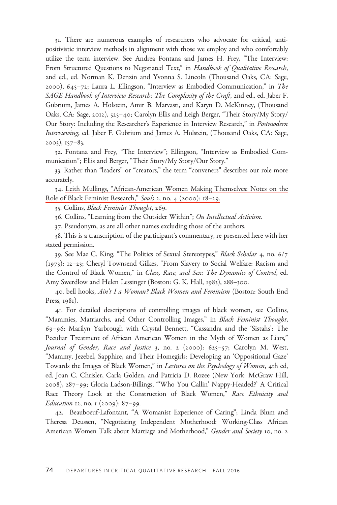. There are numerous examples of researchers who advocate for critical, antipositivistic interview methods in alignment with those we employ and who comfortably utilize the term interview. See Andrea Fontana and James H. Frey, "The Interview: From Structured Questions to Negotiated Text," in Handbook of Qualitative Research, nd ed., ed. Norman K. Denzin and Yvonna S. Lincoln (Thousand Oaks, CA: Sage, 2000),  $645-72$ ; Laura L. Ellingson, "Interview as Embodied Communication," in The SAGE Handbook of Interview Research: The Complexity of the Craft, 2nd ed., ed. Jaber F. Gubrium, James A. Holstein, Amir B. Marvasti, and Karyn D. McKinney, (Thousand Oaks, CA: Sage, 2012), 525-40; Carolyn Ellis and Leigh Berger, "Their Story/My Story/ Our Story: Including the Researcher's Experience in Interview Research," in Postmodern Interviewing, ed. Jaber F. Gubrium and James A. Holstein, (Thousand Oaks, CA: Sage,  $2003$ ,  $157-83$ .

. Fontana and Frey, "The Interview"; Ellingson, "Interview as Embodied Communication"; Ellis and Berger, "Their Story/My Story/Our Story."

. Rather than "leaders" or "creators," the term "conveners" describes our role more accurately.

. Leith Mullings, "African-American Women Making Themselves: Notes on the Role of Black Feminist Research," Souls 2, no. 4 (2000):  $18-29$ .

35. Collins, Black Feminist Thought, 269.

36. Collins, "Learning from the Outsider Within"; On Intellectual Activism.

37. Pseudonym, as are all other names excluding those of the authors.

. This is a transcription of the participant's commentary, re-presented here with her stated permission.

39. See Mae C. King, "The Politics of Sexual Stereotypes," Black Scholar 4, no. 6/7 (1973): 12-23; Cheryl Townsend Gilkes, "From Slavery to Social Welfare: Racism and the Control of Black Women," in Class, Race, and Sex: The Dynamics of Control, ed. Amy Swerdlow and Helen Lessinger (Boston: G. K. Hall, 1983), 288-300.

40. bell hooks, Ain't I a Woman? Black Women and Feminism (Boston: South End Press,  $1981$ ).

. For detailed descriptions of controlling images of black women, see Collins, "Mammies, Matriarchs, and Other Controlling Images," in Black Feminist Thought, –; Marilyn Yarbrough with Crystal Bennett, "Cassandra and the 'Sistahs': The Peculiar Treatment of African American Women in the Myth of Women as Liars," Journal of Gender, Race and Justice 3, no. 2 (2000): 625-57; Carolyn M. West, "Mammy, Jezebel, Sapphire, and Their Homegirls: Developing an 'Oppositional Gaze' Towards the Images of Black Women," in Lectures on the Psychology of Women, 4th ed, ed. Joan C. Chrisler, Carla Golden, and Patricia D. Rozee (New York: McGraw Hill, 2008), 287-99; Gloria Ladson-Billings, "Who You Callin' Nappy-Headed?' A Critical Race Theory Look at the Construction of Black Women," Race Ethnicity and *Education* 12, no. 1 (2009):  $87-99$ .

. Beauboeuf-Lafontant, "A Womanist Experience of Caring"; Linda Blum and Theresa Deussen, "Negotiating Independent Motherhood: Working-Class African American Women Talk about Marriage and Motherhood," Gender and Society 10, no. 2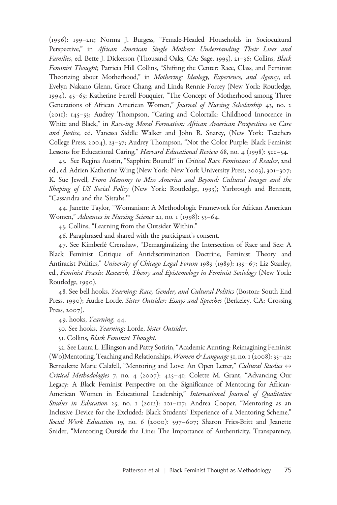(1996): 199-211; Norma J. Burgess, "Female-Headed Households in Sociocultural Perspective," in African American Single Mothers: Understanding Their Lives and Families, ed. Bette J. Dickerson (Thousand Oaks, CA: Sage, 1995), 21-36; Collins, Black Feminist Thought; Patricia Hill Collins, "Shifting the Center: Race, Class, and Feminist Theorizing about Motherhood," in Mothering: Ideology, Experience, and Agency, ed. Evelyn Nakano Glenn, Grace Chang, and Linda Rennie Forcey (New York: Routledge, 1994), 45-65; Katherine Ferrell Fouquier, "The Concept of Motherhood among Three Generations of African American Women," Journal of Nursing Scholarship 43, no. 2 (2011): 145-53; Audrey Thompson, "Caring and Colortalk: Childhood Innocence in White and Black," in Race-ing Moral Formation: African American Perspectives on Care and Justice, ed. Vanessa Siddle Walker and John R. Snarey, (New York: Teachers College Press, 2004), 23-37; Audrey Thompson, "Not the Color Purple: Black Feminist Lessons for Educational Caring," Harvard Educational Review 68, no. 4 (1998): 522-54.

43. See Regina Austin, "Sapphire Bound!" in Critical Race Feminism: A Reader, 2nd ed., ed. Adrien Katherine Wing (New York: New York University Press, 2003), 301-307; K. Sue Jewell, From Mammy to Miss America and Beyond: Cultural Images and the Shaping of US Social Policy (New York: Routledge, 1993); Yarbrough and Bennett, "Cassandra and the 'Sistahs.'"

. Janette Taylor, "Womanism: A Methodologic Framework for African American Women," Advances in Nursing Science 21, no. 1 (1998): 53-64.

. Collins, "Learning from the Outsider Within."

. Paraphrased and shared with the participant's consent.

. See Kimberlé Crenshaw, "Demarginalizing the Intersection of Race and Sex: A Black Feminist Critique of Antidiscrimination Doctrine, Feminist Theory and Antiracist Politics," University of Chicago Legal Forum 1989 (1989): 139-67; Liz Stanley, ed., Feminist Praxis: Research, Theory and Epistemology in Feminist Sociology (New York: Routledge, 1990).

48. See bell hooks, Yearning: Race, Gender, and Cultural Politics (Boston: South End Press, 1990); Audre Lorde, Sister Outsider: Essays and Speeches (Berkeley, CA: Crossing Press,  $2007$ ).

49. hooks, *Yearning*, 44.

. See hooks, Yearning; Lorde, Sister Outsider.

51. Collins, Black Feminist Thought.

. See Laura L. Ellingson and Patty Sotirin, "Academic Aunting: Reimagining Feminist (Wo)Mentoring, Teaching and Relationships, *Women & Language* 31, no. 1 (2008): 35–42; Bernadette Marie Calafell, "Mentoring and Love: An Open Letter," Cultural Studies ↔ Critical Methodologies 7, no. 4 (2007): 425-41; Colette M. Grant, "Advancing Our Legacy: A Black Feminist Perspective on the Significance of Mentoring for African-American Women in Educational Leadership," International Journal of Qualitative Studies in Education 25, no. I (2012): 101-117; Andrea Cooper, "Mentoring as an Inclusive Device for the Excluded: Black Students' Experience of a Mentoring Scheme," Social Work Education 19, no. 6 (2000): 597-607; Sharon Fries-Britt and Jeanette Snider, "Mentoring Outside the Line: The Importance of Authenticity, Transparency,